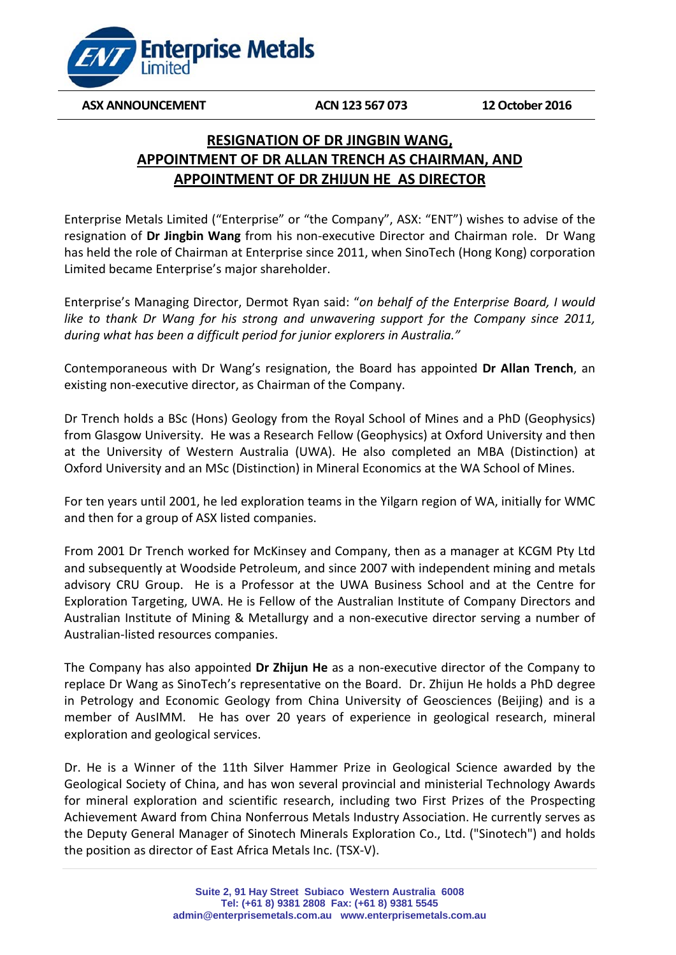

**ASX ANNOUNCEMENT ACN 123 567 073 12 October 2016**

# **RESIGNATION OF DR JINGBIN WANG, APPOINTMENT OF DR ALLAN TRENCH AS CHAIRMAN, AND APPOINTMENT OF DR ZHIJUN HE AS DIRECTOR**

Enterprise Metals Limited ("Enterprise" or "the Company", ASX: "ENT") wishes to advise of the resignation of **Dr Jingbin Wang** from his non-executive Director and Chairman role. Dr Wang has held the role of Chairman at Enterprise since 2011, when SinoTech (Hong Kong) corporation Limited became Enterprise's major shareholder.

Enterprise's Managing Director, Dermot Ryan said: "*on behalf of the Enterprise Board, I would like to thank Dr Wang for his strong and unwavering support for the Company since 2011, during what has been a difficult period for junior explorers in Australia."* 

Contemporaneous with Dr Wang's resignation, the Board has appointed **Dr Allan Trench**, an existing non-executive director, as Chairman of the Company.

Dr Trench holds a BSc (Hons) Geology from the Royal School of Mines and a PhD (Geophysics) from Glasgow University. He was a Research Fellow (Geophysics) at Oxford University and then at the University of Western Australia (UWA). He also completed an MBA (Distinction) at Oxford University and an MSc (Distinction) in Mineral Economics at the WA School of Mines.

For ten years until 2001, he led exploration teams in the Yilgarn region of WA, initially for WMC and then for a group of ASX listed companies.

From 2001 Dr Trench worked for McKinsey and Company, then as a manager at KCGM Pty Ltd and subsequently at Woodside Petroleum, and since 2007 with independent mining and metals advisory CRU Group. He is a Professor at the UWA Business School and at the Centre for Exploration Targeting, UWA. He is Fellow of the Australian Institute of Company Directors and Australian Institute of Mining & Metallurgy and a non-executive director serving a number of Australian-listed resources companies.

The Company has also appointed **Dr Zhijun He** as a non-executive director of the Company to replace Dr Wang as SinoTech's representative on the Board. Dr. Zhijun He holds a PhD degree in Petrology and Economic Geology from China University of Geosciences (Beijing) and is a member of AusIMM. He has over 20 years of experience in geological research, mineral exploration and geological services.

Dr. He is a Winner of the 11th Silver Hammer Prize in Geological Science awarded by the Geological Society of China, and has won several provincial and ministerial Technology Awards for mineral exploration and scientific research, including two First Prizes of the Prospecting Achievement Award from China Nonferrous Metals Industry Association. He currently serves as the Deputy General Manager of Sinotech Minerals Exploration Co., Ltd. ("Sinotech") and holds the position as director of East Africa Metals Inc. (TSX-V).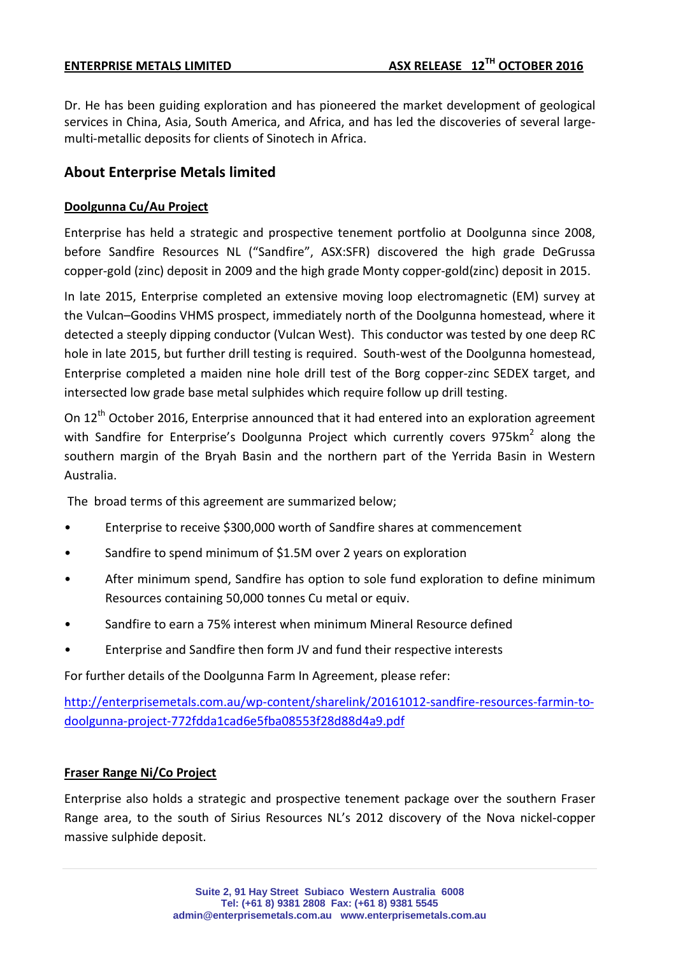Dr. He has been guiding exploration and has pioneered the market development of geological services in China, Asia, South America, and Africa, and has led the discoveries of several largemulti-metallic deposits for clients of Sinotech in Africa.

## **About Enterprise Metals limited**

### **Doolgunna Cu/Au Project**

Enterprise has held a strategic and prospective tenement portfolio at Doolgunna since 2008, before Sandfire Resources NL ("Sandfire", ASX:SFR) discovered the high grade DeGrussa copper-gold (zinc) deposit in 2009 and the high grade Monty copper-gold(zinc) deposit in 2015.

In late 2015, Enterprise completed an extensive moving loop electromagnetic (EM) survey at the Vulcan–Goodins VHMS prospect, immediately north of the Doolgunna homestead, where it detected a steeply dipping conductor (Vulcan West). This conductor was tested by one deep RC hole in late 2015, but further drill testing is required. South-west of the Doolgunna homestead, Enterprise completed a maiden nine hole drill test of the Borg copper-zinc SEDEX target, and intersected low grade base metal sulphides which require follow up drill testing.

On 12<sup>th</sup> October 2016, Enterprise announced that it had entered into an exploration agreement with Sandfire for Enterprise's Doolgunna Project which currently covers  $975km^2$  along the southern margin of the Bryah Basin and the northern part of the Yerrida Basin in Western Australia.

The broad terms of this agreement are summarized below;

- Enterprise to receive \$300,000 worth of Sandfire shares at commencement
- Sandfire to spend minimum of \$1.5M over 2 years on exploration
- After minimum spend, Sandfire has option to sole fund exploration to define minimum Resources containing 50,000 tonnes Cu metal or equiv.
- Sandfire to earn a 75% interest when minimum Mineral Resource defined
- Enterprise and Sandfire then form JV and fund their respective interests

For further details of the Doolgunna Farm In Agreement, please refer:

[http://enterprisemetals.com.au/wp-content/sharelink/20161012-sandfire-resources-farmin-to](http://enterprisemetals.com.au/wp-content/sharelink/20161012-sandfire-resources-farmin-to-doolgunna-project-772fdda1cad6e5fba08553f28d88d4a9.pdf)[doolgunna-project-772fdda1cad6e5fba08553f28d88d4a9.pdf](http://enterprisemetals.com.au/wp-content/sharelink/20161012-sandfire-resources-farmin-to-doolgunna-project-772fdda1cad6e5fba08553f28d88d4a9.pdf)

### **Fraser Range Ni/Co Project**

Enterprise also holds a strategic and prospective tenement package over the southern Fraser Range area, to the south of Sirius Resources NL's 2012 discovery of the Nova nickel-copper massive sulphide deposit.